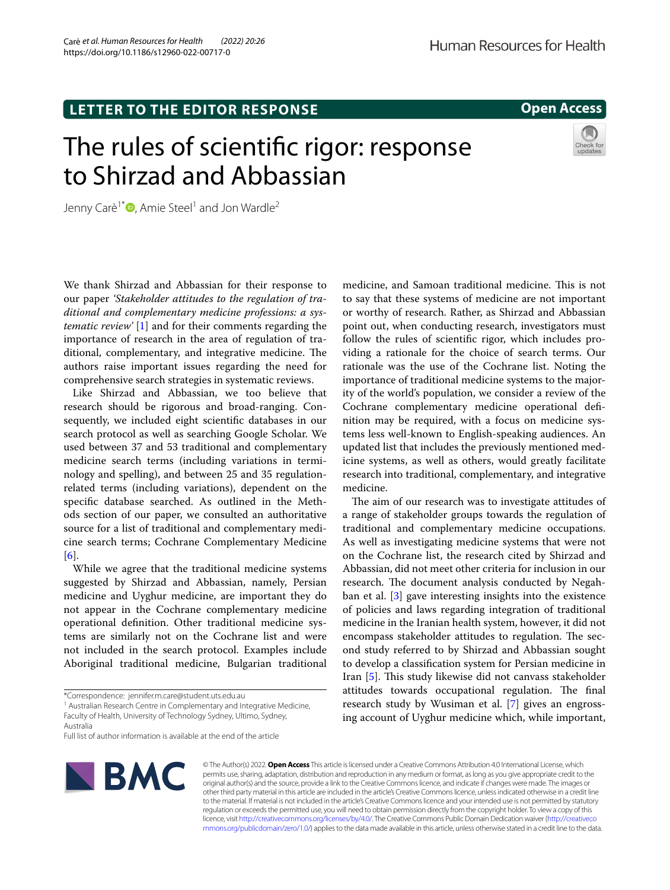# **LETTER TO THE EDITOR RESPONSE**

# **Open Access**

# The rules of scientifc rigor: response to Shirzad and Abbassian



Jenny Carè<sup>1\*</sup> $\bullet$ [,](http://orcid.org/0000-0002-8558-7853) Amie Steel<sup>1</sup> and Jon Wardle<sup>2</sup>

We thank Shirzad and Abbassian for their response to our paper *'Stakeholder attitudes to the regulation of traditional and complementary medicine professions: a systematic review'* [\[1\]](#page-1-0) and for their comments regarding the importance of research in the area of regulation of traditional, complementary, and integrative medicine. The authors raise important issues regarding the need for comprehensive search strategies in systematic reviews.

Like Shirzad and Abbassian, we too believe that research should be rigorous and broad-ranging. Consequently, we included eight scientifc databases in our search protocol as well as searching Google Scholar. We used between 37 and 53 traditional and complementary medicine search terms (including variations in terminology and spelling), and between 25 and 35 regulationrelated terms (including variations), dependent on the specifc database searched. As outlined in the Methods section of our paper, we consulted an authoritative source for a list of traditional and complementary medicine search terms; Cochrane Complementary Medicine [[6\]](#page-1-1).

While we agree that the traditional medicine systems suggested by Shirzad and Abbassian, namely, Persian medicine and Uyghur medicine, are important they do not appear in the Cochrane complementary medicine operational defnition. Other traditional medicine systems are similarly not on the Cochrane list and were not included in the search protocol. Examples include Aboriginal traditional medicine, Bulgarian traditional

Full list of author information is available at the end of the article



© The Author(s) 2022. **Open Access** This article is licensed under a Creative Commons Attribution 4.0 International License, which permits use, sharing, adaptation, distribution and reproduction in any medium or format, as long as you give appropriate credit to the original author(s) and the source, provide a link to the Creative Commons licence, and indicate if changes were made. The images or other third party material in this article are included in the article's Creative Commons licence, unless indicated otherwise in a credit line to the material. If material is not included in the article's Creative Commons licence and your intended use is not permitted by statutory regulation or exceeds the permitted use, you will need to obtain permission directly from the copyright holder. To view a copy of this licence, visit [http://creativecommons.org/licenses/by/4.0/.](http://creativecommons.org/licenses/by/4.0/) The Creative Commons Public Domain Dedication waiver ([http://creativeco](http://creativecommons.org/publicdomain/zero/1.0/) [mmons.org/publicdomain/zero/1.0/](http://creativecommons.org/publicdomain/zero/1.0/)) applies to the data made available in this article, unless otherwise stated in a credit line to the data.

medicine, and Samoan traditional medicine. This is not to say that these systems of medicine are not important or worthy of research. Rather, as Shirzad and Abbassian point out, when conducting research, investigators must follow the rules of scientifc rigor, which includes providing a rationale for the choice of search terms. Our rationale was the use of the Cochrane list. Noting the importance of traditional medicine systems to the majority of the world's population, we consider a review of the Cochrane complementary medicine operational defnition may be required, with a focus on medicine systems less well-known to English-speaking audiences. An updated list that includes the previously mentioned medicine systems, as well as others, would greatly facilitate research into traditional, complementary, and integrative medicine.

The aim of our research was to investigate attitudes of a range of stakeholder groups towards the regulation of traditional and complementary medicine occupations. As well as investigating medicine systems that were not on the Cochrane list, the research cited by Shirzad and Abbassian, did not meet other criteria for inclusion in our research. The document analysis conducted by Negahban et al. [\[3\]](#page-1-2) gave interesting insights into the existence of policies and laws regarding integration of traditional medicine in the Iranian health system, however, it did not encompass stakeholder attitudes to regulation. The second study referred to by Shirzad and Abbassian sought to develop a classifcation system for Persian medicine in Iran [\[5\]](#page-1-3). This study likewise did not canvass stakeholder attitudes towards occupational regulation. The final research study by Wusiman et al. [[7\]](#page-1-4) gives an engrossing account of Uyghur medicine which, while important,

<sup>\*</sup>Correspondence: jennifer.m.care@student.uts.edu.au

<sup>&</sup>lt;sup>1</sup> Australian Research Centre in Complementary and Integrative Medicine, Faculty of Health, University of Technology Sydney, Ultimo, Sydney, Australia